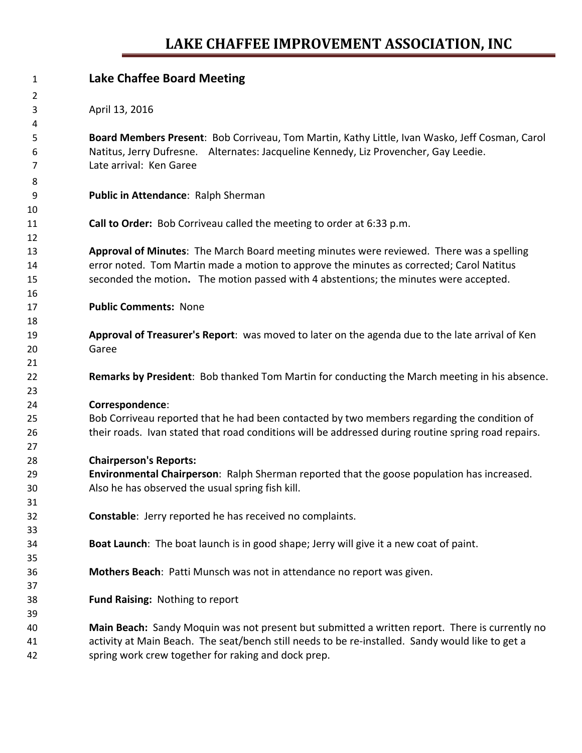## **LAKE CHAFFEE IMPROVEMENT ASSOCIATION, INC**

| $\mathbf{1}$ | <b>Lake Chaffee Board Meeting</b>                                                                   |
|--------------|-----------------------------------------------------------------------------------------------------|
| 2            |                                                                                                     |
| 3            | April 13, 2016                                                                                      |
| 4            |                                                                                                     |
| 5            | Board Members Present: Bob Corriveau, Tom Martin, Kathy Little, Ivan Wasko, Jeff Cosman, Carol      |
| 6            | Natitus, Jerry Dufresne. Alternates: Jacqueline Kennedy, Liz Provencher, Gay Leedie.                |
| 7            | Late arrival: Ken Garee                                                                             |
| 8            |                                                                                                     |
| 9            | Public in Attendance: Ralph Sherman                                                                 |
| 10           |                                                                                                     |
| 11           | Call to Order: Bob Corriveau called the meeting to order at 6:33 p.m.                               |
| 12           |                                                                                                     |
| 13           | Approval of Minutes: The March Board meeting minutes were reviewed. There was a spelling            |
| 14           | error noted. Tom Martin made a motion to approve the minutes as corrected; Carol Natitus            |
| 15           | seconded the motion. The motion passed with 4 abstentions; the minutes were accepted.               |
| 16           |                                                                                                     |
| 17           | <b>Public Comments: None</b>                                                                        |
| 18           |                                                                                                     |
| 19           | Approval of Treasurer's Report: was moved to later on the agenda due to the late arrival of Ken     |
| 20           | Garee                                                                                               |
| 21           |                                                                                                     |
| 22           | Remarks by President: Bob thanked Tom Martin for conducting the March meeting in his absence.       |
| 23           |                                                                                                     |
| 24           | Correspondence:                                                                                     |
| 25           | Bob Corriveau reported that he had been contacted by two members regarding the condition of         |
| 26           | their roads. Ivan stated that road conditions will be addressed during routine spring road repairs. |
| 27           |                                                                                                     |
| 28           | <b>Chairperson's Reports:</b>                                                                       |
| 29           | Environmental Chairperson: Ralph Sherman reported that the goose population has increased.          |
| 30           | Also he has observed the usual spring fish kill.                                                    |
| 31           |                                                                                                     |
| 32           | Constable: Jerry reported he has received no complaints.                                            |
| 33           |                                                                                                     |
| 34           | Boat Launch: The boat launch is in good shape; Jerry will give it a new coat of paint.              |
| 35           |                                                                                                     |
| 36           | Mothers Beach: Patti Munsch was not in attendance no report was given.                              |
| 37           |                                                                                                     |
| 38           | Fund Raising: Nothing to report                                                                     |
| 39           |                                                                                                     |
| 40           | Main Beach: Sandy Moquin was not present but submitted a written report. There is currently no      |
| 41           | activity at Main Beach. The seat/bench still needs to be re-installed. Sandy would like to get a    |
| 42           | spring work crew together for raking and dock prep.                                                 |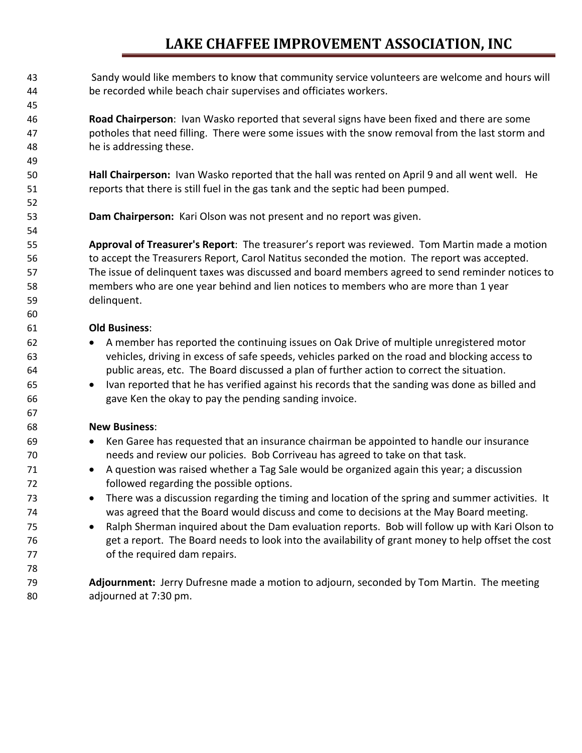## **LAKE CHAFFEE IMPROVEMENT ASSOCIATION, INC**

 Sandy would like members to know that community service volunteers are welcome and hours will be recorded while beach chair supervises and officiates workers.

 **Road Chairperson**: Ivan Wasko reported that several signs have been fixed and there are some potholes that need filling. There were some issues with the snow removal from the last storm and he is addressing these.

**Hall Chairperson:** Ivan Wasko reported that the hall was rented on April 9 and all went well. He reports that there is still fuel in the gas tank and the septic had been pumped.

**Dam Chairperson:** Kari Olson was not present and no report was given.

 **Approval of Treasurer's Report**: The treasurer's report was reviewed. Tom Martin made a motion to accept the Treasurers Report, Carol Natitus seconded the motion. The report was accepted. The issue of delinquent taxes was discussed and board members agreed to send reminder notices to members who are one year behind and lien notices to members who are more than 1 year delinquent.

## **Old Business**:

- **A member has reported the continuing issues on Oak Drive of multiple unregistered motor**  vehicles, driving in excess of safe speeds, vehicles parked on the road and blocking access to public areas, etc. The Board discussed a plan of further action to correct the situation.
- Ivan reported that he has verified against his records that the sanding was done as billed and gave Ken the okay to pay the pending sanding invoice.

## **New Business**:

- Ken Garee has requested that an insurance chairman be appointed to handle our insurance needs and review our policies. Bob Corriveau has agreed to take on that task.
- 71 A question was raised whether a Tag Sale would be organized again this year; a discussion followed regarding the possible options.
- **There was a discussion regarding the timing and location of the spring and summer activities. It** was agreed that the Board would discuss and come to decisions at the May Board meeting.
- Ralph Sherman inquired about the Dam evaluation reports. Bob will follow up with Kari Olson to get a report. The Board needs to look into the availability of grant money to help offset the cost 77 of the required dam repairs.
- **Adjournment:** Jerry Dufresne made a motion to adjourn, seconded by Tom Martin. The meeting adjourned at 7:30 pm.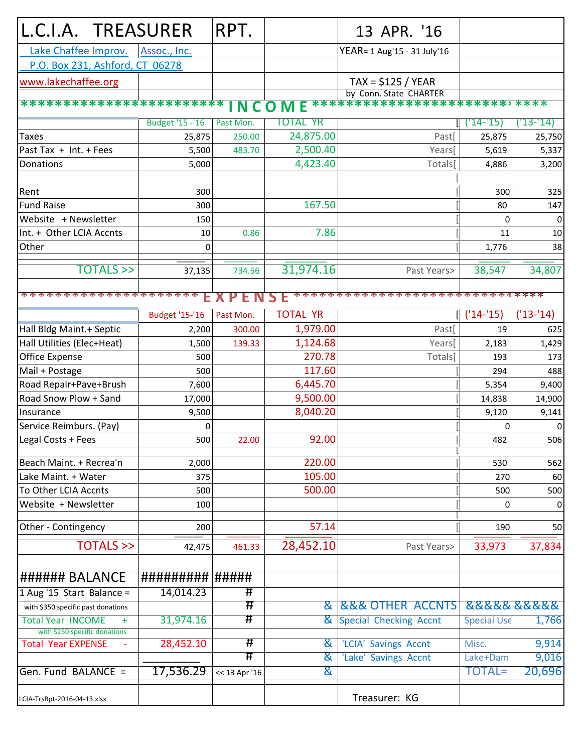| L.C.I.A. TREASURER                 |                        |                          | RPT.                     |                 | 13 APR. '16                         |                    |             |
|------------------------------------|------------------------|--------------------------|--------------------------|-----------------|-------------------------------------|--------------------|-------------|
| Lake Chaffee Improv.               |                        | Assoc., Inc.             |                          |                 | YEAR= 1 Aug'15 - 31 July'16         |                    |             |
| P.O. Box 231, Ashford, CT 06278    |                        |                          |                          |                 |                                     |                    |             |
| www.lakechaffee.org                |                        |                          |                          |                 | $TAX = $125 / YEAR$                 |                    |             |
|                                    |                        |                          |                          |                 | by Conn. State CHARTER              |                    |             |
|                                    |                        | ************************ | INCO                     | <b>ME</b>       | ****************************        |                    |             |
|                                    |                        | <b>Budget '15 -'16</b>   | Past Mon.                | <b>TOTAL YR</b> |                                     | $'14 - 15)$        | ('13-'14)   |
| <b>Taxes</b>                       |                        | 25,875                   | 250.00                   | 24,875.00       | Past[                               | 25,875             | 25,750      |
| Past Tax + Int. + Fees             |                        | 5,500                    | 483.70                   | 2,500.40        | Years[                              | 5,619              | 5,337       |
| Donations                          |                        | 5,000                    |                          | 4,423.40        | Totals[                             | 4,886              | 3,200       |
|                                    |                        |                          |                          |                 |                                     |                    |             |
| Rent                               |                        | 300                      |                          |                 |                                     | 300                | 325         |
| <b>Fund Raise</b>                  |                        | 300                      |                          | 167.50          |                                     | 80                 | 147         |
| Website + Newsletter               |                        | 150                      |                          |                 |                                     | 0                  | 0           |
| Int. + Other LCIA Accnts           |                        | 10                       | 0.86                     | 7.86            |                                     | 11                 | $10\,$      |
| Other                              |                        | 0                        |                          |                 |                                     | 1,776              | 38          |
|                                    |                        |                          |                          |                 |                                     |                    |             |
|                                    | <b>TOTALS</b> >>       | 37,135                   | 734.56                   | 31,974.16       | Past Years>                         | 38,547             | 34,807      |
|                                    |                        |                          |                          |                 |                                     |                    |             |
|                                    | *********              |                          |                          | Е<br>S.         |                                     | ************       |             |
|                                    |                        | <b>Budget '15-'16</b>    | Past Mon.                | <b>TOTAL YR</b> |                                     | $('14-'15)$        | $('13-'14)$ |
| Hall Bldg Maint.+ Septic           |                        | 2,200                    | 300.00                   | 1,979.00        | Past                                | 19                 | 625         |
| Hall Utilities (Elec+Heat)         |                        | 1,500                    | 139.33                   | 1,124.68        | Years[                              | 2,183              | 1,429       |
| Office Expense                     |                        | 500                      |                          | 270.78          | Totals[                             | 193                | 173         |
| Mail + Postage                     |                        | 500                      |                          | 117.60          |                                     | 294                | 488         |
| Road Repair+Pave+Brush             |                        | 7,600                    |                          | 6,445.70        |                                     | 5,354              | 9,400       |
| Road Snow Plow + Sand              |                        | 17,000                   |                          | 9,500.00        |                                     | 14,838             | 14,900      |
| Insurance                          |                        | 9,500                    |                          | 8,040.20        |                                     | 9,120              | 9,141       |
| Service Reimburs. (Pay)            |                        | 0                        |                          |                 |                                     | 0                  | 0           |
| Legal Costs + Fees                 |                        | 500                      | 22.00                    | 92.00           |                                     | 482                | 506         |
|                                    |                        |                          |                          |                 |                                     |                    |             |
| Beach Maint. + Recrea'n            |                        | 2,000                    |                          | 220.00          |                                     | 530                | 562         |
| Lake Maint. + Water                |                        | 375                      |                          | 105.00          |                                     | 270                | 60          |
| To Other LCIA Accnts               |                        | 500                      |                          | 500.00          |                                     | 500                | 500         |
| Website + Newsletter               |                        | 100                      |                          |                 |                                     | 0                  | $\pmb{0}$   |
| Other - Contingency                |                        | 200                      |                          | 57.14           |                                     | 190                | 50          |
|                                    |                        |                          |                          |                 |                                     |                    |             |
|                                    | <b>TOTALS &gt;&gt;</b> | 42,475                   | 461.33                   | 28,452.10       | Past Years>                         | 33,973             | 37,834      |
|                                    |                        |                          |                          |                 |                                     |                    |             |
| ###### BALANCE                     |                        | ##########  #####        |                          |                 |                                     |                    |             |
| 1 Aug '15 Start Balance =          |                        | 14,014.23                | #                        |                 |                                     |                    |             |
| with \$350 specific past donations |                        |                          | Ħ                        | &               | <b>&amp;&amp;&amp; OTHER ACCNTS</b> |                    | 8888888888  |
| <b>Total Year INCOME</b><br>$+$    |                        | 31,974.16                | #                        | &               | Special Checking Accnt              | <b>Special Use</b> | 1,766       |
| with \$250 specific donations      |                        |                          | $\overline{\textbf{\#}}$ |                 |                                     |                    |             |
| <b>Total Year EXPENSE</b>          |                        | 28,452.10                | #                        | ଝ               | 'LCIA' Savings Accnt                | Misc.              | 9,914       |
|                                    |                        |                          |                          | &               | 'Lake' Savings Accnt                | Lake+Dam           | 9,016       |
| Gen. Fund BALANCE =                |                        | 17,536.29                | << 13 Apr '16            | &               |                                     | <b>TOTAL=</b>      | 20,696      |
|                                    |                        |                          |                          |                 | Treasurer: KG                       |                    |             |
| LCIA-TrsRpt-2016-04-13.xlsx        |                        |                          |                          |                 |                                     |                    |             |